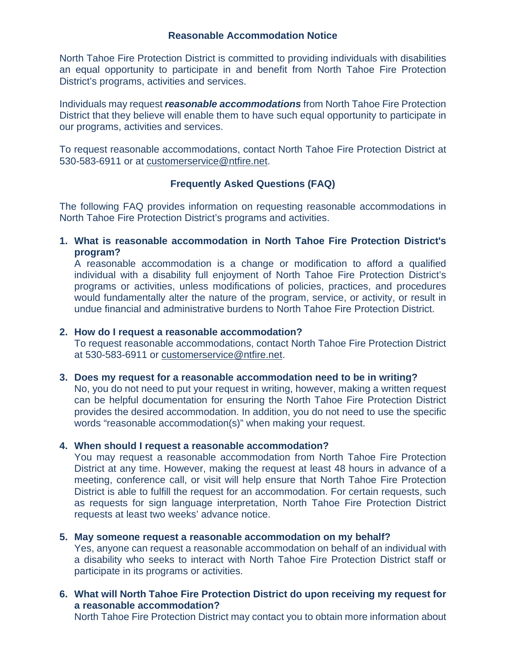### **Reasonable Accommodation Notice**

North Tahoe Fire Protection District is committed to providing individuals with disabilities an equal opportunity to participate in and benefit from North Tahoe Fire Protection District's programs, activities and services.

Individuals may request *reasonable accommodations* from North Tahoe Fire Protection District that they believe will enable them to have such equal opportunity to participate in our programs, activities and services.

To request reasonable accommodations, contact North Tahoe Fire Protection District at 530-583-6911 or at [customerservice@ntfire.net.](mailto:customerservice@ntfire.net)

# **Frequently Asked Questions (FAQ)**

The following FAQ provides information on requesting reasonable accommodations in North Tahoe Fire Protection District's programs and activities.

**1. What is reasonable accommodation in North Tahoe Fire Protection District's program?**

A reasonable accommodation is a change or modification to afford a qualified individual with a disability full enjoyment of North Tahoe Fire Protection District's programs or activities, unless modifications of policies, practices, and procedures would fundamentally alter the nature of the program, service, or activity, or result in undue financial and administrative burdens to North Tahoe Fire Protection District.

### **2. How do I request a reasonable accommodation?**

To request reasonable accommodations, contact North Tahoe Fire Protection District at 530-583-6911 or [customerservice@ntfire.net.](mailto:customerservice@ntfire.net)

#### **3. Does my request for a reasonable accommodation need to be in writing?**

No, you do not need to put your request in writing, however, making a written request can be helpful documentation for ensuring the North Tahoe Fire Protection District provides the desired accommodation. In addition, you do not need to use the specific words "reasonable accommodation(s)" when making your request.

## **4. When should I request a reasonable accommodation?**

You may request a reasonable accommodation from North Tahoe Fire Protection District at any time. However, making the request at least 48 hours in advance of a meeting, conference call, or visit will help ensure that North Tahoe Fire Protection District is able to fulfill the request for an accommodation. For certain requests, such as requests for sign language interpretation, North Tahoe Fire Protection District requests at least two weeks' advance notice.

## **5. May someone request a reasonable accommodation on my behalf?**

Yes, anyone can request a reasonable accommodation on behalf of an individual with a disability who seeks to interact with North Tahoe Fire Protection District staff or participate in its programs or activities.

# **6. What will North Tahoe Fire Protection District do upon receiving my request for a reasonable accommodation?**

North Tahoe Fire Protection District may contact you to obtain more information about